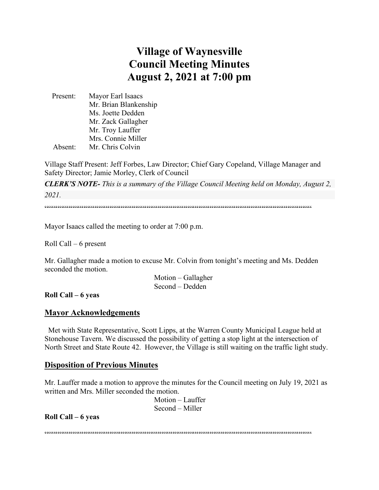# **Village of Waynesville Council Meeting Minutes August 2, 2021 at 7:00 pm**

 Present: Mayor Earl Isaacs Mr. Brian Blankenship Ms. Joette Dedden Mr. Zack Gallagher Mr. Troy Lauffer Mrs. Connie Miller Absent: Mr. Chris Colvin

Village Staff Present: Jeff Forbes, Law Director; Chief Gary Copeland, Village Manager and Safety Director; Jamie Morley, Clerk of Council

*CLERK'S NOTE- This is a summary of the Village Council Meeting held on Monday, August 2, 2021.* 

""""""""""""""""""""""""""""""""""""""""""""""""""""""""""""""""""""""""

Mayor Isaacs called the meeting to order at 7:00 p.m.

Roll Call – 6 present

Mr. Gallagher made a motion to excuse Mr. Colvin from tonight's meeting and Ms. Dedden seconded the motion.

> Motion – Gallagher Second – Dedden

**Roll Call – 6 yeas**

#### **Mayor Acknowledgements**

 Met with State Representative, Scott Lipps, at the Warren County Municipal League held at Stonehouse Tavern. We discussed the possibility of getting a stop light at the intersection of North Street and State Route 42. However, the Village is still waiting on the traffic light study.

## **Disposition of Previous Minutes**

Mr. Lauffer made a motion to approve the minutes for the Council meeting on July 19, 2021 as written and Mrs. Miller seconded the motion.

> Motion – Lauffer Second – Miller

**Roll Call – 6 yeas**

 $\label{prop:main} \hspace{1.5cm} \hspace{1.5cm} \textcolor{blue}{\bullet} \hspace{1.5cm} \textcolor{blue}{\bullet} \hspace{1.5cm} \textcolor{blue}{\bullet} \hspace{1.5cm} \textcolor{blue}{\bullet} \hspace{1.5cm} \textcolor{blue}{\bullet} \hspace{1.5cm} \textcolor{blue}{\bullet} \hspace{1.5cm} \textcolor{blue}{\bullet} \hspace{1.5cm} \textcolor{blue}{\bullet} \hspace{1.5cm} \textcolor{blue}{\bullet} \hspace{1.5cm} \textcolor{blue}{\bullet} \hspace{1.5cm} \textcolor{blue}{\bullet} \hspace{1.$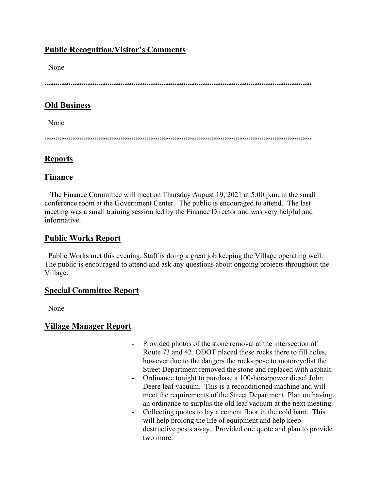# **Public Recognition/Visitor's Comments**

None

 $\label{prop:main} \hspace{1.5cm} \hspace{1.5cm} \textcolor{blue}{\bullet} \hspace{1.5cm} \textcolor{blue}{\bullet} \hspace{1.5cm} \textcolor{blue}{\bullet} \hspace{1.5cm} \textcolor{blue}{\bullet} \hspace{1.5cm} \textcolor{blue}{\bullet} \hspace{1.5cm} \textcolor{blue}{\bullet} \hspace{1.5cm} \textcolor{blue}{\bullet} \hspace{1.5cm} \textcolor{blue}{\bullet} \hspace{1.5cm} \textcolor{blue}{\bullet} \hspace{1.5cm} \textcolor{blue}{\bullet} \hspace{1.5cm} \textcolor{blue}{\bullet} \hspace{1.$ 

# **Old Business**

None

 $\label{prop:main} \hspace{1.5in} \hspace{1.5in} {\color{blue} {\begin{subarray}{l} \hbox{\textbf{if} $\mathfrak{h}$} \\\hbox{\textbf{if} $\mathfrak{h}$} \end{subarray}} } \hspace{1.5in} {\color{blue} {\begin{subarray}{l} \hbox{\textbf{if} $\mathfrak{h}$} \\\hbox{\textbf{if} $\mathfrak{h}$} \end{subarray}} } \hspace{1.5in} {\color{blue} {\begin{subarray}{l} \hbox{\textbf{if} $\mathfrak{h}$} \\\hbox{\textbf{if} $\mathfrak{h}$} \end{subarray}} } \hspace{1.5in} {\color{$ 

# **Reports**

## **Finance**

 The Finance Committee will meet on Thursday August 19, 2021 at 5:00 p.m. in the small conference room at the Government Center. The public is encouraged to attend. The last meeting was a small training session led by the Finance Director and was very helpful and informative.

# **Public Works Report**

 Public Works met this evening. Staff is doing a great job keeping the Village operating well. The public is encouraged to attend and ask any questions about ongoing projects throughout the Village.

## **Special Committee Report**

None

## **Village Manager Report**

- Provided photos of the stone removal at the intersection of Route 73 and 42. ODOT placed these rocks there to fill holes, however due to the dangers the rocks pose to motorcyclist the Street Department removed the stone and replaced with asphalt.
- Ordinance tonight to purchase a 100-horsepower diesel John Deere leaf vacuum. This is a reconditioned machine and will meet the requirements of the Street Department. Plan on having an ordinance to surplus the old leaf vacuum at the next meeting.
- Collecting quotes to lay a cement floor in the cold barn. This will help prolong the life of equipment and help keep destructive pests away. Provided one quote and plan to provide two more.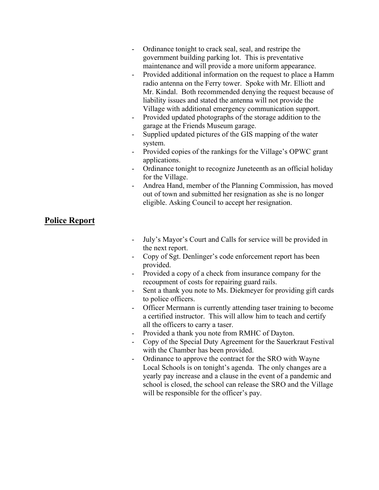- Ordinance tonight to crack seal, seal, and restripe the government building parking lot. This is preventative maintenance and will provide a more uniform appearance.
- Provided additional information on the request to place a Hamm radio antenna on the Ferry tower. Spoke with Mr. Elliott and Mr. Kindal. Both recommended denying the request because of liability issues and stated the antenna will not provide the Village with additional emergency communication support.
- Provided updated photographs of the storage addition to the garage at the Friends Museum garage.
- Supplied updated pictures of the GIS mapping of the water system.
- Provided copies of the rankings for the Village's OPWC grant applications.
- Ordinance tonight to recognize Juneteenth as an official holiday for the Village.
- Andrea Hand, member of the Planning Commission, has moved out of town and submitted her resignation as she is no longer eligible. Asking Council to accept her resignation.

# **Police Report**

- July's Mayor's Court and Calls for service will be provided in the next report.
- Copy of Sgt. Denlinger's code enforcement report has been provided.
- Provided a copy of a check from insurance company for the recoupment of costs for repairing guard rails.
- Sent a thank you note to Ms. Diekmeyer for providing gift cards to police officers.
- Officer Mermann is currently attending taser training to become a certified instructor. This will allow him to teach and certify all the officers to carry a taser.
- Provided a thank you note from RMHC of Dayton.
- Copy of the Special Duty Agreement for the Sauerkraut Festival with the Chamber has been provided.
- Ordinance to approve the contract for the SRO with Wayne Local Schools is on tonight's agenda. The only changes are a yearly pay increase and a clause in the event of a pandemic and school is closed, the school can release the SRO and the Village will be responsible for the officer's pay.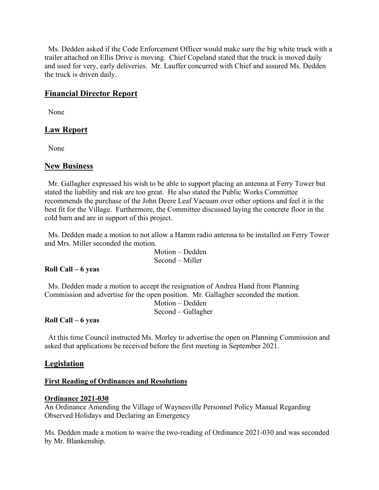Ms. Dedden asked if the Code Enforcement Officer would make sure the big white truck with a trailer attached on Ellis Drive is moving. Chief Copeland stated that the truck is moved daily and used for very, early deliveries. Mr. Lauffer concurred with Chief and assured Ms. Dedden the truck is driven daily.

# **Financial Director Report**

None

# **Law Report**

None

# **New Business**

 Mr. Gallagher expressed his wish to be able to support placing an antenna at Ferry Tower but stated the liability and risk are too great. He also stated the Public Works Committee recommends the purchase of the John Deere Leaf Vacuum over other options and feel it is the best fit for the Village. Furthermore, the Committee discussed laying the concrete floor in the cold barn and are in support of this project.

 Ms. Dedden made a motion to not allow a Hamm radio antenna to be installed on Ferry Tower and Mrs. Miller seconded the motion.

 Motion – Dedden Second – Miller

## **Roll Call – 6 yeas**

 Ms. Dedden made a motion to accept the resignation of Andrea Hand from Planning Commission and advertise for the open position. Mr. Gallagher seconded the motion. Motion – Dedden Second – Gallagher

## **Roll Call – 6 yeas**

 At this time Council instructed Ms. Morley to advertise the open on Planning Commission and asked that applications be received before the first meeting in September 2021.

## **Legislation**

## **First Reading of Ordinances and Resolutions**

## **Ordinance 2021-030**

An Ordinance Amending the Village of Waynesville Personnel Policy Manual Regarding Observed Holidays and Declaring an Emergency

Ms. Dedden made a motion to waive the two-reading of Ordinance 2021-030 and was seconded by Mr. Blankenship.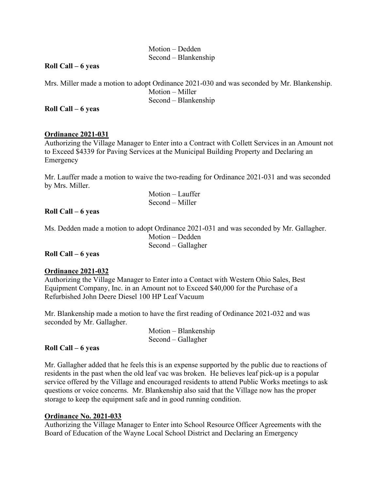| Motion – Dedden        |
|------------------------|
| $Second - Blankenship$ |

#### **Roll Call – 6 yeas**

Mrs. Miller made a motion to adopt Ordinance 2021-030 and was seconded by Mr. Blankenship. Motion – Miller Second – Blankenship

**Roll Call – 6 yeas**

### **Ordinance 2021-031**

Authorizing the Village Manager to Enter into a Contract with Collett Services in an Amount not to Exceed \$4339 for Paving Services at the Municipal Building Property and Declaring an Emergency

Mr. Lauffer made a motion to waive the two-reading for Ordinance 2021-031 and was seconded by Mrs. Miller.

| Motion – Lauffer  |
|-------------------|
| $Second - Miller$ |

### **Roll Call – 6 yeas**

Ms. Dedden made a motion to adopt Ordinance 2021-031 and was seconded by Mr. Gallagher. Motion – Dedden

Second – Gallagher

## **Roll Call – 6 yeas**

#### **Ordinance 2021-032**

Authorizing the Village Manager to Enter into a Contact with Western Ohio Sales, Best Equipment Company, Inc. in an Amount not to Exceed \$40,000 for the Purchase of a Refurbished John Deere Diesel 100 HP Leaf Vacuum

Mr. Blankenship made a motion to have the first reading of Ordinance 2021-032 and was seconded by Mr. Gallagher.

> Motion – Blankenship Second – Gallagher

## **Roll Call – 6 yeas**

Mr. Gallagher added that he feels this is an expense supported by the public due to reactions of residents in the past when the old leaf vac was broken. He believes leaf pick-up is a popular service offered by the Village and encouraged residents to attend Public Works meetings to ask questions or voice concerns. Mr. Blankenship also said that the Village now has the proper storage to keep the equipment safe and in good running condition.

#### **Ordinance No. 2021-033**

Authorizing the Village Manager to Enter into School Resource Officer Agreements with the Board of Education of the Wayne Local School District and Declaring an Emergency